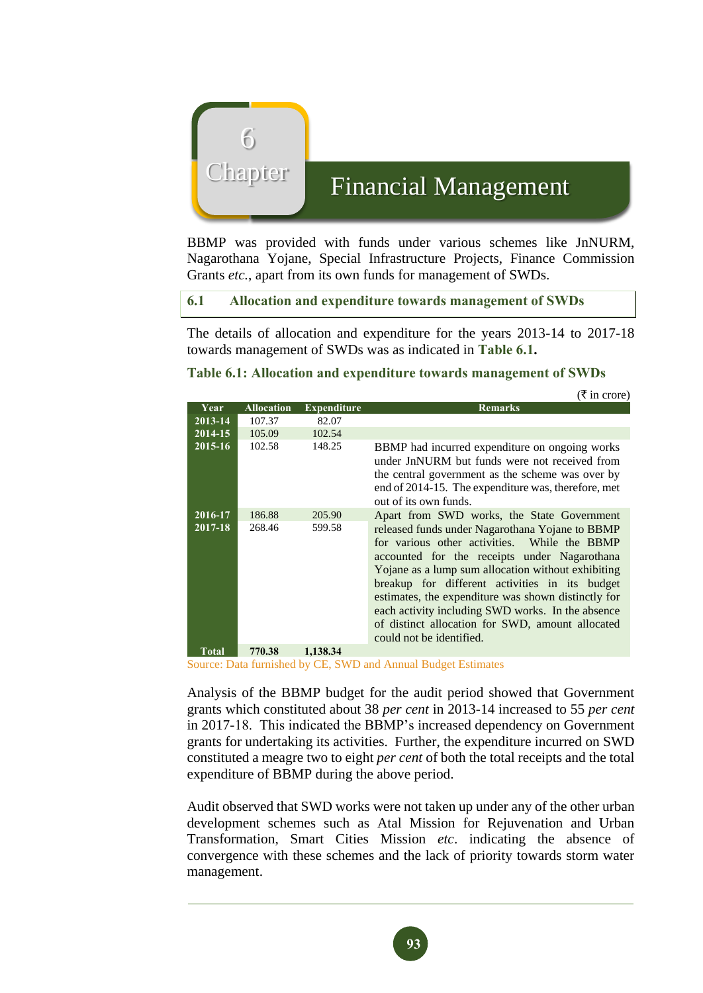

# Chapter Financial Management

BBMP was provided with funds under various schemes like JnNURM, Nagarothana Yojane, Special Infrastructure Projects, Finance Commission Grants *etc.*, apart from its own funds for management of SWDs.

### **6.1 Allocation and expenditure towards management of SWDs**

The details of allocation and expenditure for the years 2013-14 to 2017-18 towards management of SWDs was as indicated in **Table 6.1.**

#### **Table 6.1: Allocation and expenditure towards management of SWDs**

|                    |                   |                    | $(3 \times 1)$ in crore)                                                                                                                                                                                                                                                                                                                                                                                                                                                                          |
|--------------------|-------------------|--------------------|---------------------------------------------------------------------------------------------------------------------------------------------------------------------------------------------------------------------------------------------------------------------------------------------------------------------------------------------------------------------------------------------------------------------------------------------------------------------------------------------------|
| Year               | <b>Allocation</b> | <b>Expenditure</b> | <b>Remarks</b>                                                                                                                                                                                                                                                                                                                                                                                                                                                                                    |
| 2013-14            | 107.37            | 82.07              |                                                                                                                                                                                                                                                                                                                                                                                                                                                                                                   |
| 2014-15            | 105.09            | 102.54             |                                                                                                                                                                                                                                                                                                                                                                                                                                                                                                   |
| 2015-16            | 102.58            | 148.25             | BBMP had incurred expenditure on ongoing works<br>under JnNURM but funds were not received from<br>the central government as the scheme was over by<br>end of 2014-15. The expenditure was, therefore, met<br>out of its own funds.                                                                                                                                                                                                                                                               |
| 2016-17<br>2017-18 | 186.88<br>268.46  | 205.90<br>599.58   | Apart from SWD works, the State Government<br>released funds under Nagarothana Yojane to BBMP<br>for various other activities. While the BBMP<br>accounted for the receipts under Nagarothana<br>Yojane as a lump sum allocation without exhibiting<br>breakup for different activities in its budget<br>estimates, the expenditure was shown distinctly for<br>each activity including SWD works. In the absence<br>of distinct allocation for SWD, amount allocated<br>could not be identified. |
| Total              | 770.38            | 1,138.34           |                                                                                                                                                                                                                                                                                                                                                                                                                                                                                                   |

Source: Data furnished by CE, SWD and Annual Budget Estimates

Analysis of the BBMP budget for the audit period showed that Government grants which constituted about 38 *per cent* in 2013-14 increased to 55 *per cent* in 2017-18. This indicated the BBMP's increased dependency on Government grants for undertaking its activities. Further, the expenditure incurred on SWD constituted a meagre two to eight *per cent* of both the total receipts and the total expenditure of BBMP during the above period.

Audit observed that SWD works were not taken up under any of the other urban development schemes such as Atal Mission for Rejuvenation and Urban Transformation, Smart Cities Mission *etc*. indicating the absence of convergence with these schemes and the lack of priority towards storm water management.

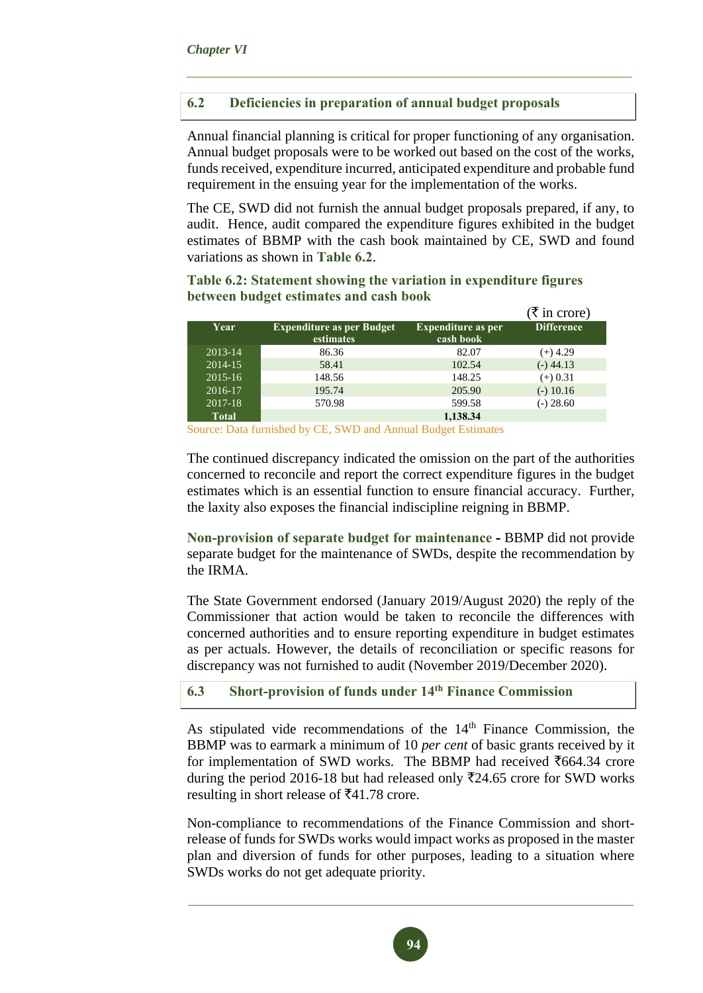# **6.2 Deficiencies in preparation of annual budget proposals**

Annual financial planning is critical for proper functioning of any organisation. Annual budget proposals were to be worked out based on the cost of the works, funds received, expenditure incurred, anticipated expenditure and probable fund requirement in the ensuing year for the implementation of the works.

The CE, SWD did not furnish the annual budget proposals prepared, if any, to audit. Hence, audit compared the expenditure figures exhibited in the budget estimates of BBMP with the cash book maintained by CE, SWD and found variations as shown in **Table 6.2**.

|              |                                               |                                        | (₹ in crore)      |
|--------------|-----------------------------------------------|----------------------------------------|-------------------|
| Year         | <b>Expenditure as per Budget</b><br>estimates | <b>Expenditure as per</b><br>cash book | <b>Difference</b> |
| 2013-14      | 86.36                                         | 82.07                                  | $(+)$ 4.29        |
| 2014-15      | 58.41                                         | 102.54                                 | $(-)$ 44.13       |
| $2015 - 16$  | 148.56                                        | 148.25                                 | $(+) 0.31$        |
| 2016-17      | 195.74                                        | 205.90                                 | $(-) 10.16$       |
| 2017-18      | 570.98                                        | 599.58                                 | $(-) 28.60$       |
| <b>Total</b> |                                               | 1,138.34                               |                   |

**Table 6.2: Statement showing the variation in expenditure figures between budget estimates and cash book**

Source: Data furnished by CE, SWD and Annual Budget Estimates

The continued discrepancy indicated the omission on the part of the authorities concerned to reconcile and report the correct expenditure figures in the budget estimates which is an essential function to ensure financial accuracy. Further, the laxity also exposes the financial indiscipline reigning in BBMP.

**Non-provision of separate budget for maintenance -** BBMP did not provide separate budget for the maintenance of SWDs, despite the recommendation by the IRMA.

The State Government endorsed (January 2019/August 2020) the reply of the Commissioner that action would be taken to reconcile the differences with concerned authorities and to ensure reporting expenditure in budget estimates as per actuals. However, the details of reconciliation or specific reasons for discrepancy was not furnished to audit (November 2019/December 2020).

#### **6.3 Short-provision of funds under 14th Finance Commission**

As stipulated vide recommendations of the  $14<sup>th</sup>$  Finance Commission, the BBMP was to earmark a minimum of 10 *per cent* of basic grants received by it for implementation of SWD works. The BBMP had received  $\text{\textsf{T664.34}}$  crore during the period 2016-18 but had released only  $\overline{5}24.65$  crore for SWD works resulting in short release of  $\text{\textoverline{5}}41.78$  crore.

Non-compliance to recommendations of the Finance Commission and shortrelease of funds for SWDs works would impact works as proposed in the master plan and diversion of funds for other purposes, leading to a situation where SWDs works do not get adequate priority.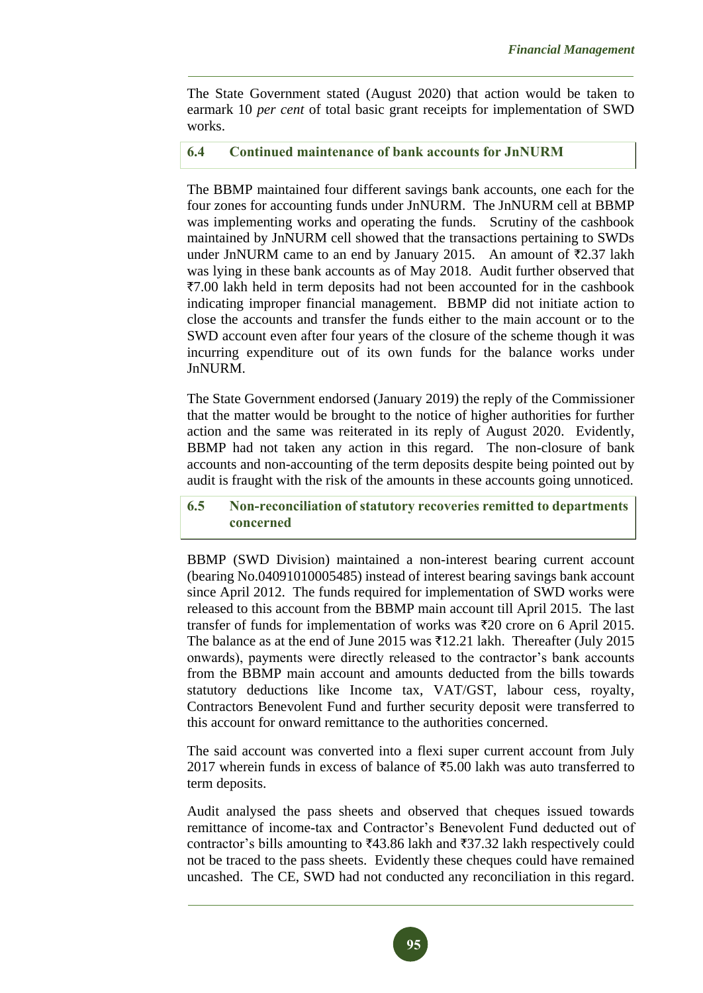The State Government stated (August 2020) that action would be taken to earmark 10 *per cent* of total basic grant receipts for implementation of SWD works.

## **6.4 Continued maintenance of bank accounts for JnNURM**

The BBMP maintained four different savings bank accounts, one each for the four zones for accounting funds under JnNURM. The JnNURM cell at BBMP was implementing works and operating the funds. Scrutiny of the cashbook maintained by JnNURM cell showed that the transactions pertaining to SWDs under JnNURM came to an end by January 2015. An amount of  $\overline{\tau}$ 2.37 lakh was lying in these bank accounts as of May 2018. Audit further observed that `7.00 lakh held in term deposits had not been accounted for in the cashbook indicating improper financial management. BBMP did not initiate action to close the accounts and transfer the funds either to the main account or to the SWD account even after four years of the closure of the scheme though it was incurring expenditure out of its own funds for the balance works under JnNURM.

The State Government endorsed (January 2019) the reply of the Commissioner that the matter would be brought to the notice of higher authorities for further action and the same was reiterated in its reply of August 2020. Evidently, BBMP had not taken any action in this regard. The non-closure of bank accounts and non-accounting of the term deposits despite being pointed out by audit is fraught with the risk of the amounts in these accounts going unnoticed.

### **6.5 Non-reconciliation of statutory recoveries remitted to departments concerned**

BBMP (SWD Division) maintained a non-interest bearing current account (bearing No.04091010005485) instead of interest bearing savings bank account since April 2012. The funds required for implementation of SWD works were released to this account from the BBMP main account till April 2015. The last transfer of funds for implementation of works was  $\overline{z}20$  crore on 6 April 2015. The balance as at the end of June 2015 was  $\text{\texttt{712.21}}$  lakh. Thereafter (July 2015 onwards), payments were directly released to the contractor's bank accounts from the BBMP main account and amounts deducted from the bills towards statutory deductions like Income tax, VAT/GST, labour cess, royalty, Contractors Benevolent Fund and further security deposit were transferred to this account for onward remittance to the authorities concerned.

The said account was converted into a flexi super current account from July 2017 wherein funds in excess of balance of  $\text{\textsterling}5.00$  lakh was auto transferred to term deposits.

Audit analysed the pass sheets and observed that cheques issued towards remittance of income-tax and Contractor's Benevolent Fund deducted out of contractor's bills amounting to  $\text{\textsterling}43.86$  lakh and  $\text{\textsterling}37.32$  lakh respectively could not be traced to the pass sheets. Evidently these cheques could have remained uncashed. The CE, SWD had not conducted any reconciliation in this regard.

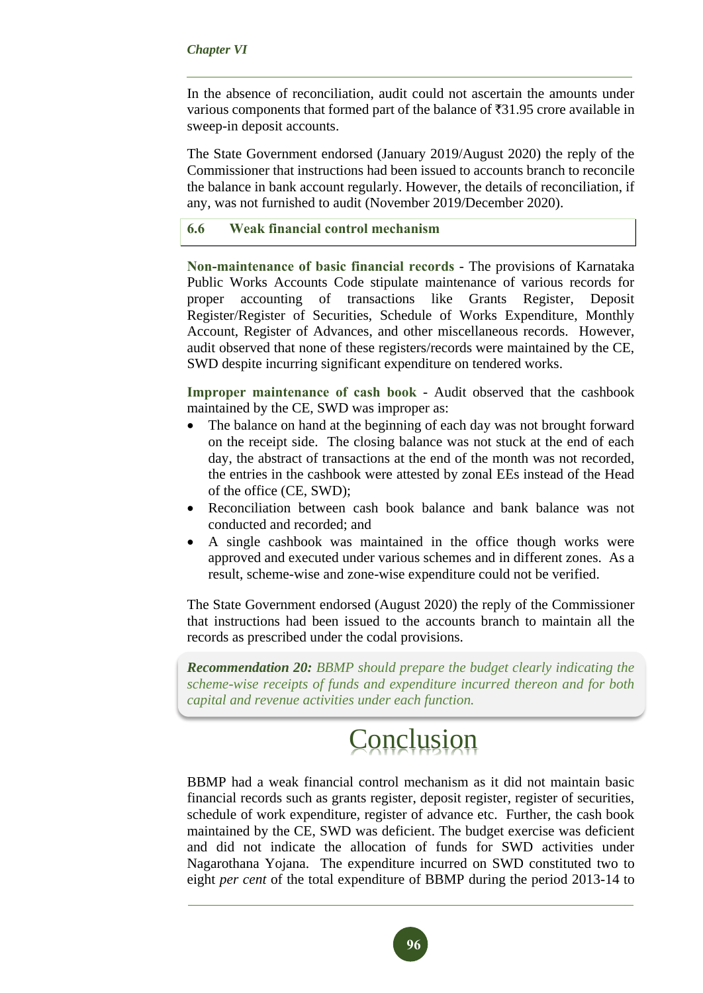#### *Chapter VI*

In the absence of reconciliation, audit could not ascertain the amounts under various components that formed part of the balance of  $\overline{31.95}$  crore available in sweep-in deposit accounts.

The State Government endorsed (January 2019/August 2020) the reply of the Commissioner that instructions had been issued to accounts branch to reconcile the balance in bank account regularly. However, the details of reconciliation, if any, was not furnished to audit (November 2019/December 2020).

# **6.6 Weak financial control mechanism**

**Non-maintenance of basic financial records** - The provisions of Karnataka Public Works Accounts Code stipulate maintenance of various records for proper accounting of transactions like Grants Register, Deposit Register/Register of Securities, Schedule of Works Expenditure, Monthly Account, Register of Advances, and other miscellaneous records. However, audit observed that none of these registers/records were maintained by the CE, SWD despite incurring significant expenditure on tendered works.

**Improper maintenance of cash book** - Audit observed that the cashbook maintained by the CE, SWD was improper as:

- The balance on hand at the beginning of each day was not brought forward on the receipt side. The closing balance was not stuck at the end of each day, the abstract of transactions at the end of the month was not recorded, the entries in the cashbook were attested by zonal EEs instead of the Head of the office (CE, SWD);
- Reconciliation between cash book balance and bank balance was not conducted and recorded; and
- A single cashbook was maintained in the office though works were approved and executed under various schemes and in different zones. As a result, scheme-wise and zone-wise expenditure could not be verified.

The State Government endorsed (August 2020) the reply of the Commissioner that instructions had been issued to the accounts branch to maintain all the records as prescribed under the codal provisions.

*Recommendation 20: BBMP should prepare the budget clearly indicating the scheme-wise receipts of funds and expenditure incurred thereon and for both capital and revenue activities under each function.* 

# Conclusion

BBMP had a weak financial control mechanism as it did not maintain basic financial records such as grants register, deposit register, register of securities, schedule of work expenditure, register of advance etc. Further, the cash book maintained by the CE, SWD was deficient. The budget exercise was deficient and did not indicate the allocation of funds for SWD activities under Nagarothana Yojana. The expenditure incurred on SWD constituted two to eight *per cent* of the total expenditure of BBMP during the period 2013-14 to